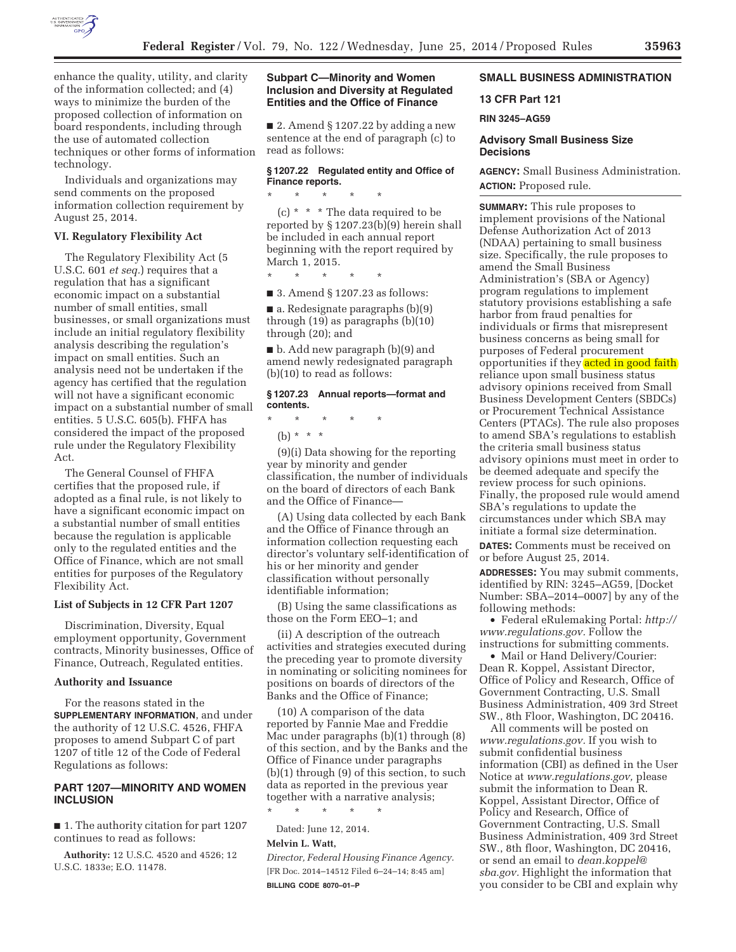

enhance the quality, utility, and clarity of the information collected; and (4) ways to minimize the burden of the proposed collection of information on board respondents, including through the use of automated collection techniques or other forms of information technology.

Individuals and organizations may send comments on the proposed information collection requirement by August 25, 2014.

### **VI. Regulatory Flexibility Act**

The Regulatory Flexibility Act (5 U.S.C. 601 *et seq.*) requires that a regulation that has a significant economic impact on a substantial number of small entities, small businesses, or small organizations must include an initial regulatory flexibility analysis describing the regulation's impact on small entities. Such an analysis need not be undertaken if the agency has certified that the regulation will not have a significant economic impact on a substantial number of small entities. 5 U.S.C. 605(b). FHFA has considered the impact of the proposed rule under the Regulatory Flexibility Act.

The General Counsel of FHFA certifies that the proposed rule, if adopted as a final rule, is not likely to have a significant economic impact on a substantial number of small entities because the regulation is applicable only to the regulated entities and the Office of Finance, which are not small entities for purposes of the Regulatory Flexibility Act.

#### **List of Subjects in 12 CFR Part 1207**

Discrimination, Diversity, Equal employment opportunity, Government contracts, Minority businesses, Office of Finance, Outreach, Regulated entities.

### **Authority and Issuance**

For the reasons stated in the **SUPPLEMENTARY INFORMATION**, and under the authority of 12 U.S.C. 4526, FHFA proposes to amend Subpart C of part 1207 of title 12 of the Code of Federal Regulations as follows:

## **PART 1207—MINORITY AND WOMEN INCLUSION**

■ 1. The authority citation for part 1207 continues to read as follows:

**Authority:** 12 U.S.C. 4520 and 4526; 12 U.S.C. 1833e; E.O. 11478.

## **Subpart C—Minority and Women Inclusion and Diversity at Regulated Entities and the Office of Finance**

 $\blacksquare$  2. Amend § 1207.22 by adding a new sentence at the end of paragraph (c) to read as follows:

## **§ 1207.22 Regulated entity and Office of Finance reports.**

(c) \* \* \* The data required to be reported by § 1207.23(b)(9) herein shall be included in each annual report beginning with the report required by March 1, 2015.

\* \* \* \* \*

\* \* \* \* \*

■ 3. Amend § 1207.23 as follows:

■ a. Redesignate paragraphs (b)(9) through (19) as paragraphs (b)(10) through (20); and

■ b. Add new paragraph (b)(9) and amend newly redesignated paragraph (b)(10) to read as follows:

## **§ 1207.23 Annual reports—format and contents.**

\* \* \* \* \*

(b) \* \* \*

(9)(i) Data showing for the reporting year by minority and gender classification, the number of individuals on the board of directors of each Bank and the Office of Finance—

(A) Using data collected by each Bank and the Office of Finance through an information collection requesting each director's voluntary self-identification of his or her minority and gender classification without personally identifiable information;

(B) Using the same classifications as those on the Form EEO–1; and

(ii) A description of the outreach activities and strategies executed during the preceding year to promote diversity in nominating or soliciting nominees for positions on boards of directors of the Banks and the Office of Finance;

(10) A comparison of the data reported by Fannie Mae and Freddie Mac under paragraphs (b)(1) through (8) of this section, and by the Banks and the Office of Finance under paragraphs (b)(1) through (9) of this section, to such data as reported in the previous year together with a narrative analysis;

\* \* \* \* \* Dated: June 12, 2014.

# **Melvin L. Watt,**

*Director, Federal Housing Finance Agency.*  [FR Doc. 2014–14512 Filed 6–24–14; 8:45 am] **BILLING CODE 8070–01–P** 

## **SMALL BUSINESS ADMINISTRATION**

## **13 CFR Part 121**

#### **RIN 3245–AG59**

## **Advisory Small Business Size Decisions**

**AGENCY:** Small Business Administration. **ACTION:** Proposed rule.

**SUMMARY:** This rule proposes to implement provisions of the National Defense Authorization Act of 2013 (NDAA) pertaining to small business size. Specifically, the rule proposes to amend the Small Business Administration's (SBA or Agency) program regulations to implement statutory provisions establishing a safe harbor from fraud penalties for individuals or firms that misrepresent business concerns as being small for purposes of Federal procurement opportunities if they acted in good faith reliance upon small business status advisory opinions received from Small Business Development Centers (SBDCs) or Procurement Technical Assistance Centers (PTACs). The rule also proposes to amend SBA's regulations to establish the criteria small business status advisory opinions must meet in order to be deemed adequate and specify the review process for such opinions. Finally, the proposed rule would amend SBA's regulations to update the circumstances under which SBA may initiate a formal size determination.

**DATES:** Comments must be received on or before August 25, 2014.

**ADDRESSES:** You may submit comments, identified by RIN: 3245–AG59, [Docket Number: SBA–2014–0007] by any of the following methods:

• Federal eRulemaking Portal: *http:// www.regulations.gov.* Follow the instructions for submitting comments.

• Mail or Hand Delivery/Courier: Dean R. Koppel, Assistant Director, Office of Policy and Research, Office of Government Contracting, U.S. Small Business Administration, 409 3rd Street SW., 8th Floor, Washington, DC 20416.

All comments will be posted on *www.regulations.gov.* If you wish to submit confidential business information (CBI) as defined in the User Notice at *www.regulations.gov,* please submit the information to Dean R. Koppel, Assistant Director, Office of Policy and Research, Office of Government Contracting, U.S. Small Business Administration, 409 3rd Street SW., 8th floor, Washington, DC 20416, or send an email to *dean.koppel@ sba.gov.* Highlight the information that you consider to be CBI and explain why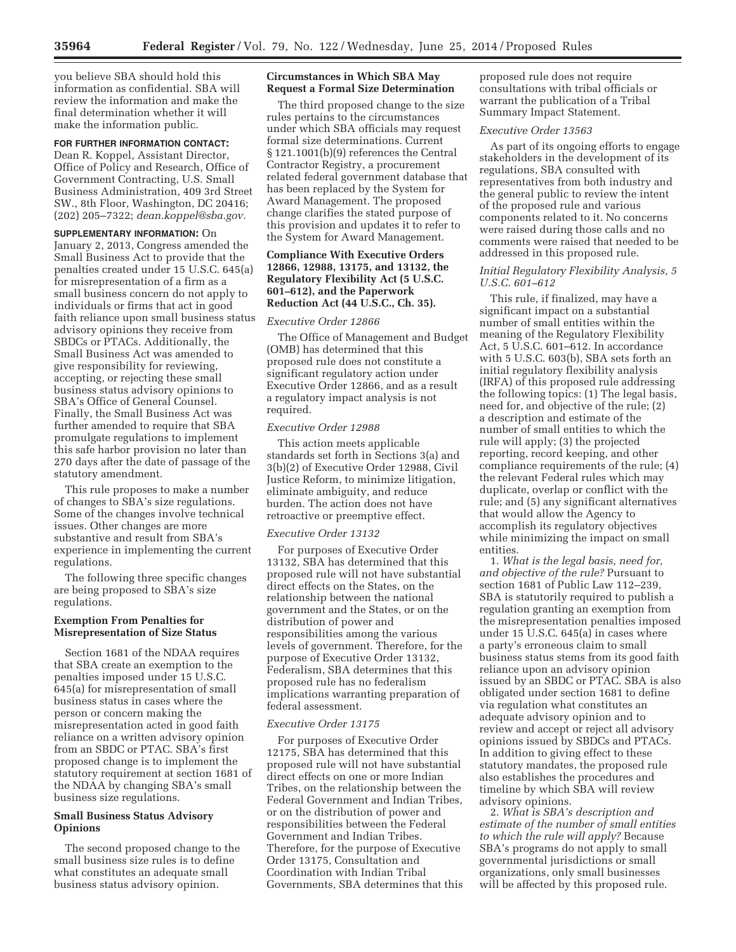you believe SBA should hold this information as confidential. SBA will review the information and make the final determination whether it will make the information public.

## **FOR FURTHER INFORMATION CONTACT:**

Dean R. Koppel, Assistant Director, Office of Policy and Research, Office of Government Contracting, U.S. Small Business Administration, 409 3rd Street SW., 8th Floor, Washington, DC 20416; (202) 205–7322; *dean.koppel@sba.gov.* 

#### **SUPPLEMENTARY INFORMATION:** On

January 2, 2013, Congress amended the Small Business Act to provide that the penalties created under 15 U.S.C. 645(a) for misrepresentation of a firm as a small business concern do not apply to individuals or firms that act in good faith reliance upon small business status advisory opinions they receive from SBDCs or PTACs. Additionally, the Small Business Act was amended to give responsibility for reviewing, accepting, or rejecting these small business status advisory opinions to SBA's Office of General Counsel. Finally, the Small Business Act was further amended to require that SBA promulgate regulations to implement this safe harbor provision no later than 270 days after the date of passage of the statutory amendment.

This rule proposes to make a number of changes to SBA's size regulations. Some of the changes involve technical issues. Other changes are more substantive and result from SBA's experience in implementing the current regulations.

The following three specific changes are being proposed to SBA's size regulations.

## **Exemption From Penalties for Misrepresentation of Size Status**

Section 1681 of the NDAA requires that SBA create an exemption to the penalties imposed under 15 U.S.C. 645(a) for misrepresentation of small business status in cases where the person or concern making the misrepresentation acted in good faith reliance on a written advisory opinion from an SBDC or PTAC. SBA's first proposed change is to implement the statutory requirement at section 1681 of the NDAA by changing SBA's small business size regulations.

## **Small Business Status Advisory Opinions**

The second proposed change to the small business size rules is to define what constitutes an adequate small business status advisory opinion.

### **Circumstances in Which SBA May Request a Formal Size Determination**

The third proposed change to the size rules pertains to the circumstances under which SBA officials may request formal size determinations. Current § 121.1001(b)(9) references the Central Contractor Registry, a procurement related federal government database that has been replaced by the System for Award Management. The proposed change clarifies the stated purpose of this provision and updates it to refer to the System for Award Management.

## **Compliance With Executive Orders 12866, 12988, 13175, and 13132, the Regulatory Flexibility Act (5 U.S.C. 601–612), and the Paperwork Reduction Act (44 U.S.C., Ch. 35).**

## *Executive Order 12866*

The Office of Management and Budget (OMB) has determined that this proposed rule does not constitute a significant regulatory action under Executive Order 12866, and as a result a regulatory impact analysis is not required.

#### *Executive Order 12988*

This action meets applicable standards set forth in Sections 3(a) and 3(b)(2) of Executive Order 12988, Civil Justice Reform, to minimize litigation, eliminate ambiguity, and reduce burden. The action does not have retroactive or preemptive effect.

#### *Executive Order 13132*

For purposes of Executive Order 13132, SBA has determined that this proposed rule will not have substantial direct effects on the States, on the relationship between the national government and the States, or on the distribution of power and responsibilities among the various levels of government. Therefore, for the purpose of Executive Order 13132, Federalism, SBA determines that this proposed rule has no federalism implications warranting preparation of federal assessment.

#### *Executive Order 13175*

For purposes of Executive Order 12175, SBA has determined that this proposed rule will not have substantial direct effects on one or more Indian Tribes, on the relationship between the Federal Government and Indian Tribes, or on the distribution of power and responsibilities between the Federal Government and Indian Tribes. Therefore, for the purpose of Executive Order 13175, Consultation and Coordination with Indian Tribal Governments, SBA determines that this proposed rule does not require consultations with tribal officials or warrant the publication of a Tribal Summary Impact Statement.

#### *Executive Order 13563*

As part of its ongoing efforts to engage stakeholders in the development of its regulations, SBA consulted with representatives from both industry and the general public to review the intent of the proposed rule and various components related to it. No concerns were raised during those calls and no comments were raised that needed to be addressed in this proposed rule.

## *Initial Regulatory Flexibility Analysis, 5 U.S.C. 601–612*

This rule, if finalized, may have a significant impact on a substantial number of small entities within the meaning of the Regulatory Flexibility Act, 5 U.S.C. 601–612. In accordance with 5 U.S.C. 603(b), SBA sets forth an initial regulatory flexibility analysis (IRFA) of this proposed rule addressing the following topics: (1) The legal basis, need for, and objective of the rule; (2) a description and estimate of the number of small entities to which the rule will apply; (3) the projected reporting, record keeping, and other compliance requirements of the rule; (4) the relevant Federal rules which may duplicate, overlap or conflict with the rule; and (5) any significant alternatives that would allow the Agency to accomplish its regulatory objectives while minimizing the impact on small entities.

1. *What is the legal basis, need for, and objective of the rule?* Pursuant to section 1681 of Public Law 112–239, SBA is statutorily required to publish a regulation granting an exemption from the misrepresentation penalties imposed under 15 U.S.C. 645(a) in cases where a party's erroneous claim to small business status stems from its good faith reliance upon an advisory opinion issued by an SBDC or PTAC. SBA is also obligated under section 1681 to define via regulation what constitutes an adequate advisory opinion and to review and accept or reject all advisory opinions issued by SBDCs and PTACs. In addition to giving effect to these statutory mandates, the proposed rule also establishes the procedures and timeline by which SBA will review advisory opinions.

2. *What is SBA's description and estimate of the number of small entities to which the rule will apply?* Because SBA's programs do not apply to small governmental jurisdictions or small organizations, only small businesses will be affected by this proposed rule.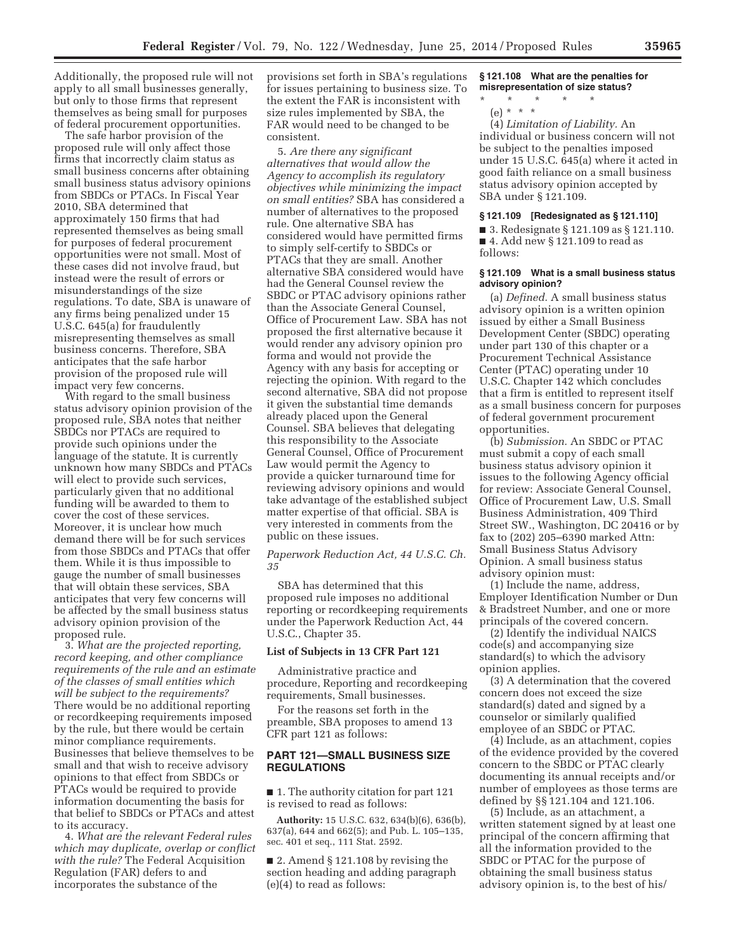Additionally, the proposed rule will not apply to all small businesses generally, but only to those firms that represent themselves as being small for purposes of federal procurement opportunities.

The safe harbor provision of the proposed rule will only affect those firms that incorrectly claim status as small business concerns after obtaining small business status advisory opinions from SBDCs or PTACs. In Fiscal Year 2010, SBA determined that approximately 150 firms that had represented themselves as being small for purposes of federal procurement opportunities were not small. Most of these cases did not involve fraud, but instead were the result of errors or misunderstandings of the size regulations. To date, SBA is unaware of any firms being penalized under 15 U.S.C. 645(a) for fraudulently misrepresenting themselves as small business concerns. Therefore, SBA anticipates that the safe harbor provision of the proposed rule will impact very few concerns.

With regard to the small business status advisory opinion provision of the proposed rule, SBA notes that neither SBDCs nor PTACs are required to provide such opinions under the language of the statute. It is currently unknown how many SBDCs and PTACs will elect to provide such services, particularly given that no additional funding will be awarded to them to cover the cost of these services. Moreover, it is unclear how much demand there will be for such services from those SBDCs and PTACs that offer them. While it is thus impossible to gauge the number of small businesses that will obtain these services, SBA anticipates that very few concerns will be affected by the small business status advisory opinion provision of the proposed rule.

3. *What are the projected reporting, record keeping, and other compliance requirements of the rule and an estimate of the classes of small entities which will be subject to the requirements?*  There would be no additional reporting or recordkeeping requirements imposed by the rule, but there would be certain minor compliance requirements. Businesses that believe themselves to be small and that wish to receive advisory opinions to that effect from SBDCs or PTACs would be required to provide information documenting the basis for that belief to SBDCs or PTACs and attest to its accuracy.

4. *What are the relevant Federal rules which may duplicate, overlap or conflict with the rule?* The Federal Acquisition Regulation (FAR) defers to and incorporates the substance of the

provisions set forth in SBA's regulations for issues pertaining to business size. To the extent the FAR is inconsistent with size rules implemented by SBA, the FAR would need to be changed to be consistent.

5. *Are there any significant alternatives that would allow the Agency to accomplish its regulatory objectives while minimizing the impact on small entities?* SBA has considered a number of alternatives to the proposed rule. One alternative SBA has considered would have permitted firms to simply self-certify to SBDCs or PTACs that they are small. Another alternative SBA considered would have had the General Counsel review the SBDC or PTAC advisory opinions rather than the Associate General Counsel, Office of Procurement Law. SBA has not proposed the first alternative because it would render any advisory opinion pro forma and would not provide the Agency with any basis for accepting or rejecting the opinion. With regard to the second alternative, SBA did not propose it given the substantial time demands already placed upon the General Counsel. SBA believes that delegating this responsibility to the Associate General Counsel, Office of Procurement Law would permit the Agency to provide a quicker turnaround time for reviewing advisory opinions and would take advantage of the established subject matter expertise of that official. SBA is very interested in comments from the public on these issues.

*Paperwork Reduction Act, 44 U.S.C. Ch. 35* 

SBA has determined that this proposed rule imposes no additional reporting or recordkeeping requirements under the Paperwork Reduction Act, 44 U.S.C., Chapter 35.

## **List of Subjects in 13 CFR Part 121**

Administrative practice and procedure, Reporting and recordkeeping requirements, Small businesses.

For the reasons set forth in the preamble, SBA proposes to amend 13 CFR part 121 as follows:

## **PART 121—SMALL BUSINESS SIZE REGULATIONS**

■ 1. The authority citation for part 121 is revised to read as follows:

**Authority:** 15 U.S.C. 632, 634(b)(6), 636(b), 637(a), 644 and 662(5); and Pub. L. 105–135, sec. 401 et seq., 111 Stat. 2592.

■ 2. Amend § 121.108 by revising the section heading and adding paragraph (e)(4) to read as follows:

## **§ 121.108 What are the penalties for misrepresentation of size status?**

\* \* \* \* \*

(e) \* \* \* (4) *Limitation of Liability.* An individual or business concern will not be subject to the penalties imposed under 15 U.S.C. 645(a) where it acted in good faith reliance on a small business status advisory opinion accepted by SBA under § 121.109.

### **§ 121.109 [Redesignated as § 121.110]**

■ 3. Redesignate § 121.109 as § 121.110. ■ 4. Add new § 121.109 to read as follows:

#### **§ 121.109 What is a small business status advisory opinion?**

(a) *Defined.* A small business status advisory opinion is a written opinion issued by either a Small Business Development Center (SBDC) operating under part 130 of this chapter or a Procurement Technical Assistance Center (PTAC) operating under 10 U.S.C. Chapter 142 which concludes that a firm is entitled to represent itself as a small business concern for purposes of federal government procurement opportunities.

(b) *Submission.* An SBDC or PTAC must submit a copy of each small business status advisory opinion it issues to the following Agency official for review: Associate General Counsel, Office of Procurement Law, U.S. Small Business Administration, 409 Third Street SW., Washington, DC 20416 or by fax to (202) 205–6390 marked Attn: Small Business Status Advisory Opinion. A small business status advisory opinion must:

(1) Include the name, address, Employer Identification Number or Dun & Bradstreet Number, and one or more principals of the covered concern.

(2) Identify the individual NAICS code(s) and accompanying size standard(s) to which the advisory opinion applies.

(3) A determination that the covered concern does not exceed the size standard(s) dated and signed by a counselor or similarly qualified employee of an SBDC or PTAC.

(4) Include, as an attachment, copies of the evidence provided by the covered concern to the SBDC or PTAC clearly documenting its annual receipts and/or number of employees as those terms are defined by §§ 121.104 and 121.106.

(5) Include, as an attachment, a written statement signed by at least one principal of the concern affirming that all the information provided to the SBDC or PTAC for the purpose of obtaining the small business status advisory opinion is, to the best of his/